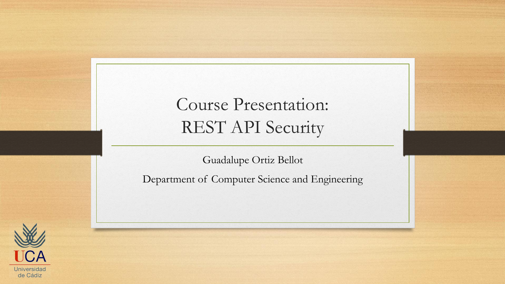### Course Presentation: REST API Security

Guadalupe Ortiz Bellot

Department of Computer Science and Engineering

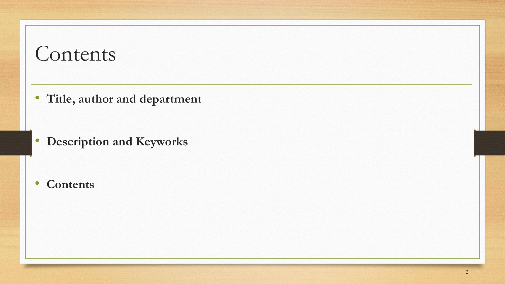## Contents

• **Title, author and department**

• **Description and Keyworks**

#### • **Contents**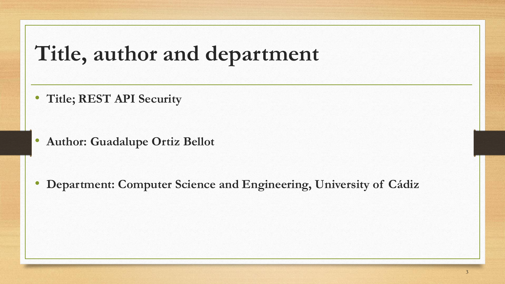# **Title, author and department**

• **Title; REST API Security**

• **Author: Guadalupe Ortiz Bellot** 

• **Department: Computer Science and Engineering, University of Cádiz**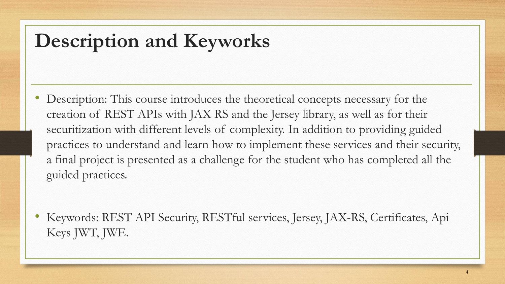## **Description and Keyworks**

• Description: This course introduces the theoretical concepts necessary for the creation of REST APIs with JAX RS and the Jersey library, as well as for their securitization with different levels of complexity. In addition to providing guided practices to understand and learn how to implement these services and their security, a final project is presented as a challenge for the student who has completed all the guided practices.

• Keywords: REST API Security, RESTful services, Jersey, JAX-RS, Certificates, Api Keys JWT, JWE.